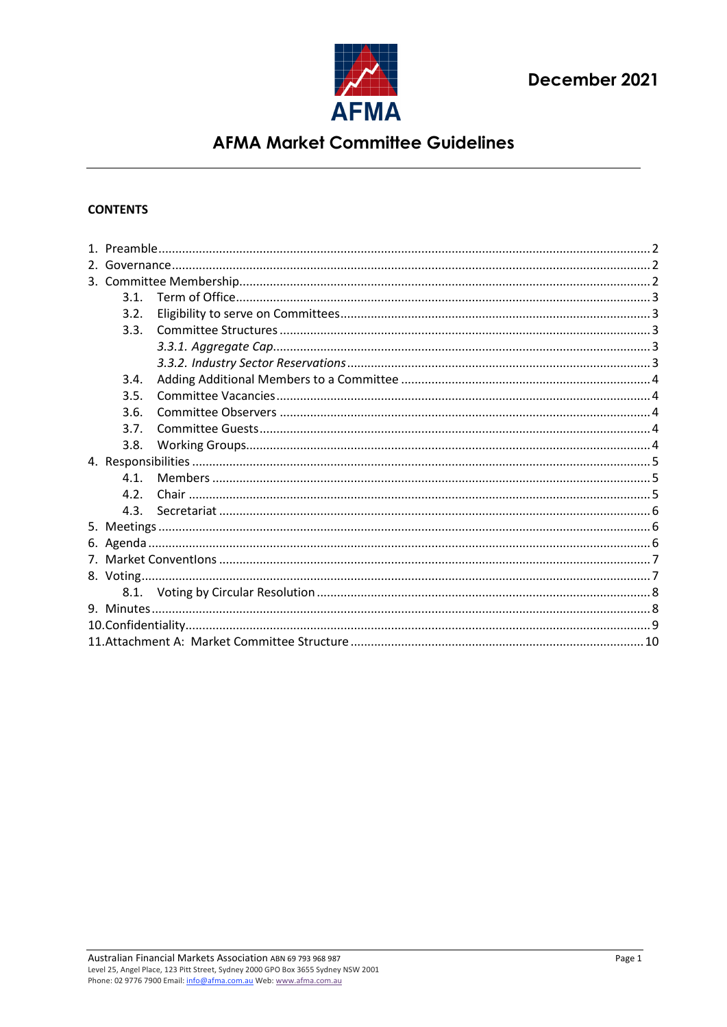

### **CONTENTS**

|  | 3.1. |  |  |  |  |  |  |  |
|--|------|--|--|--|--|--|--|--|
|  | 3.2. |  |  |  |  |  |  |  |
|  | 3.3. |  |  |  |  |  |  |  |
|  |      |  |  |  |  |  |  |  |
|  |      |  |  |  |  |  |  |  |
|  | 3.4. |  |  |  |  |  |  |  |
|  | 3.5. |  |  |  |  |  |  |  |
|  | 3.6. |  |  |  |  |  |  |  |
|  | 3.7. |  |  |  |  |  |  |  |
|  | 3.8. |  |  |  |  |  |  |  |
|  |      |  |  |  |  |  |  |  |
|  | 4.1. |  |  |  |  |  |  |  |
|  | 4.2. |  |  |  |  |  |  |  |
|  | 4.3. |  |  |  |  |  |  |  |
|  |      |  |  |  |  |  |  |  |
|  |      |  |  |  |  |  |  |  |
|  |      |  |  |  |  |  |  |  |
|  |      |  |  |  |  |  |  |  |
|  |      |  |  |  |  |  |  |  |
|  |      |  |  |  |  |  |  |  |
|  |      |  |  |  |  |  |  |  |
|  |      |  |  |  |  |  |  |  |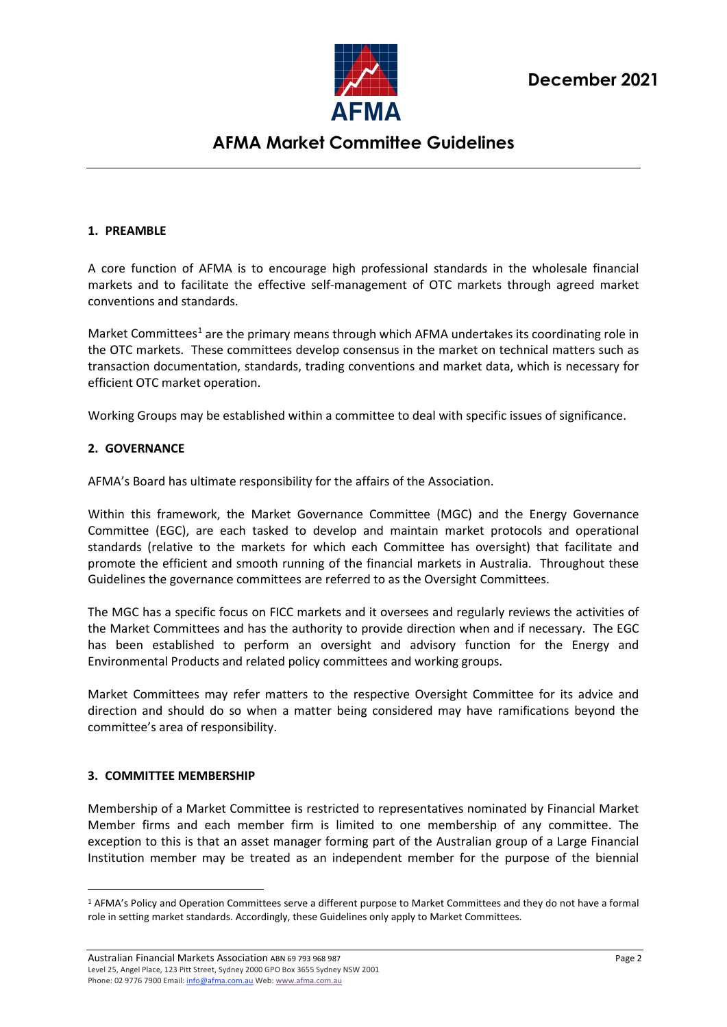

#### <span id="page-1-0"></span>**1. PREAMBLE**

A core function of AFMA is to encourage high professional standards in the wholesale financial markets and to facilitate the effective self-management of OTC markets through agreed market conventions and standards.

Market Committees<sup>[1](#page-1-3)</sup> are the primary means through which AFMA undertakes its coordinating role in the OTC markets. These committees develop consensus in the market on technical matters such as transaction documentation, standards, trading conventions and market data, which is necessary for efficient OTC market operation.

Working Groups may be established within a committee to deal with specific issues of significance.

#### <span id="page-1-1"></span>**2. GOVERNANCE**

AFMA's Board has ultimate responsibility for the affairs of the Association.

Within this framework, the Market Governance Committee (MGC) and the Energy Governance Committee (EGC), are each tasked to develop and maintain market protocols and operational standards (relative to the markets for which each Committee has oversight) that facilitate and promote the efficient and smooth running of the financial markets in Australia. Throughout these Guidelines the governance committees are referred to as the Oversight Committees.

The MGC has a specific focus on FICC markets and it oversees and regularly reviews the activities of the Market Committees and has the authority to provide direction when and if necessary. The EGC has been established to perform an oversight and advisory function for the Energy and Environmental Products and related policy committees and working groups.

Market Committees may refer matters to the respective Oversight Committee for its advice and direction and should do so when a matter being considered may have ramifications beyond the committee's area of responsibility.

#### <span id="page-1-2"></span>**3. COMMITTEE MEMBERSHIP**

Membership of a Market Committee is restricted to representatives nominated by Financial Market Member firms and each member firm is limited to one membership of any committee. The exception to this is that an asset manager forming part of the Australian group of a Large Financial Institution member may be treated as an independent member for the purpose of the biennial

<span id="page-1-3"></span><sup>&</sup>lt;sup>1</sup> AFMA's Policy and Operation Committees serve a different purpose to Market Committees and they do not have a formal role in setting market standards. Accordingly, these Guidelines only apply to Market Committees.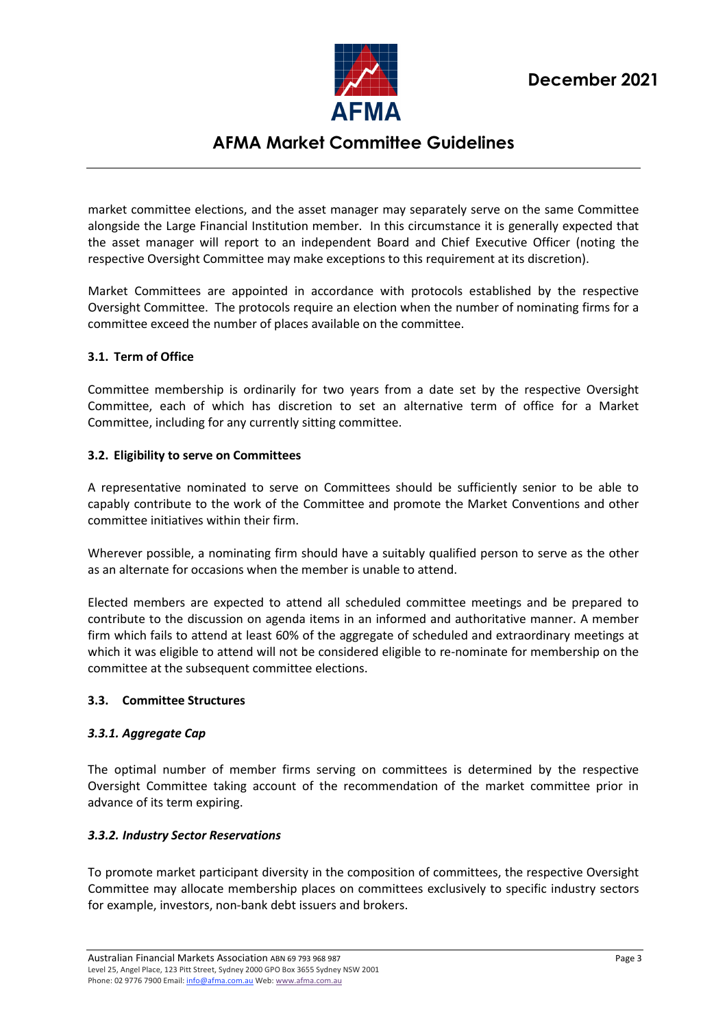

market committee elections, and the asset manager may separately serve on the same Committee alongside the Large Financial Institution member. In this circumstance it is generally expected that the asset manager will report to an independent Board and Chief Executive Officer (noting the respective Oversight Committee may make exceptions to this requirement at its discretion).

Market Committees are appointed in accordance with protocols established by the respective Oversight Committee. The protocols require an election when the number of nominating firms for a committee exceed the number of places available on the committee.

### <span id="page-2-0"></span>**3.1. Term of Office**

Committee membership is ordinarily for two years from a date set by the respective Oversight Committee, each of which has discretion to set an alternative term of office for a Market Committee, including for any currently sitting committee.

#### <span id="page-2-1"></span>**3.2. Eligibility to serve on Committees**

A representative nominated to serve on Committees should be sufficiently senior to be able to capably contribute to the work of the Committee and promote the Market Conventions and other committee initiatives within their firm.

Wherever possible, a nominating firm should have a suitably qualified person to serve as the other as an alternate for occasions when the member is unable to attend.

Elected members are expected to attend all scheduled committee meetings and be prepared to contribute to the discussion on agenda items in an informed and authoritative manner. A member firm which fails to attend at least 60% of the aggregate of scheduled and extraordinary meetings at which it was eligible to attend will not be considered eligible to re-nominate for membership on the committee at the subsequent committee elections.

### <span id="page-2-2"></span>**3.3. Committee Structures**

### <span id="page-2-3"></span>*3.3.1. Aggregate Cap*

The optimal number of member firms serving on committees is determined by the respective Oversight Committee taking account of the recommendation of the market committee prior in advance of its term expiring.

### <span id="page-2-4"></span>*3.3.2. Industry Sector Reservations*

To promote market participant diversity in the composition of committees, the respective Oversight Committee may allocate membership places on committees exclusively to specific industry sectors for example, investors, non-bank debt issuers and brokers.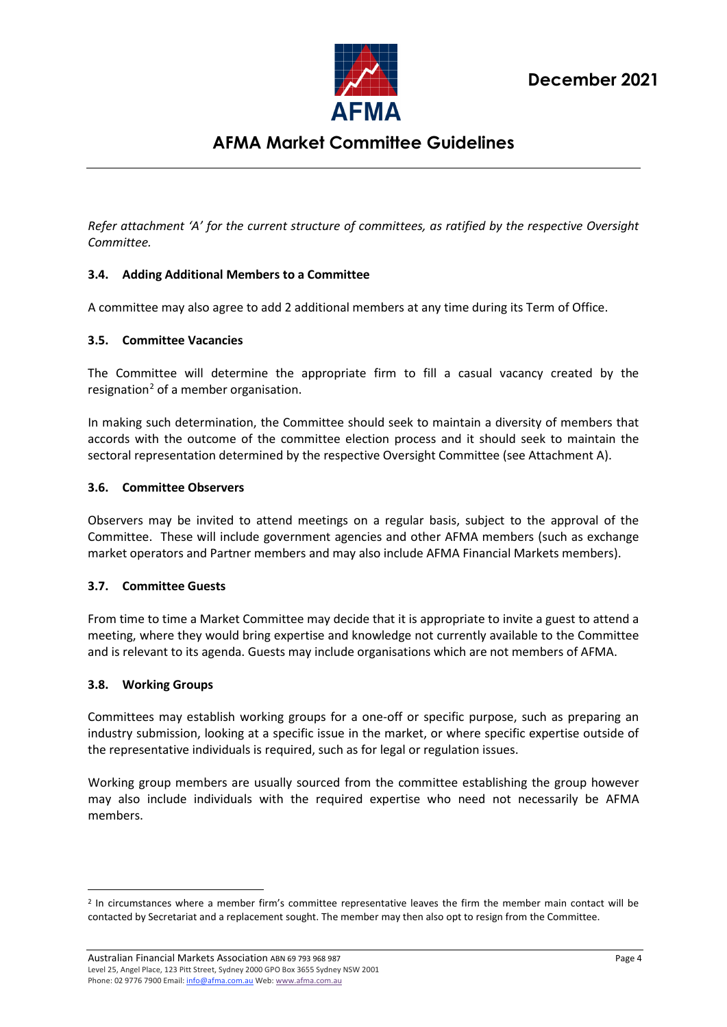

*Refer attachment 'A' for the current structure of committees, as ratified by the respective Oversight Committee.*

## <span id="page-3-0"></span>**3.4. Adding Additional Members to a Committee**

A committee may also agree to add 2 additional members at any time during its Term of Office.

#### <span id="page-3-1"></span>**3.5. Committee Vacancies**

The Committee will determine the appropriate firm to fill a casual vacancy created by the resignation<sup>[2](#page-3-5)</sup> of a member organisation.

In making such determination, the Committee should seek to maintain a diversity of members that accords with the outcome of the committee election process and it should seek to maintain the sectoral representation determined by the respective Oversight Committee (see Attachment A).

#### <span id="page-3-2"></span>**3.6. Committee Observers**

Observers may be invited to attend meetings on a regular basis, subject to the approval of the Committee. These will include government agencies and other AFMA members (such as exchange market operators and Partner members and may also include AFMA Financial Markets members).

### <span id="page-3-3"></span>**3.7. Committee Guests**

From time to time a Market Committee may decide that it is appropriate to invite a guest to attend a meeting, where they would bring expertise and knowledge not currently available to the Committee and is relevant to its agenda. Guests may include organisations which are not members of AFMA.

#### <span id="page-3-4"></span>**3.8. Working Groups**

Committees may establish working groups for a one-off or specific purpose, such as preparing an industry submission, looking at a specific issue in the market, or where specific expertise outside of the representative individuals is required, such as for legal or regulation issues.

Working group members are usually sourced from the committee establishing the group however may also include individuals with the required expertise who need not necessarily be AFMA members.

<span id="page-3-5"></span><sup>&</sup>lt;sup>2</sup> In circumstances where a member firm's committee representative leaves the firm the member main contact will be contacted by Secretariat and a replacement sought. The member may then also opt to resign from the Committee.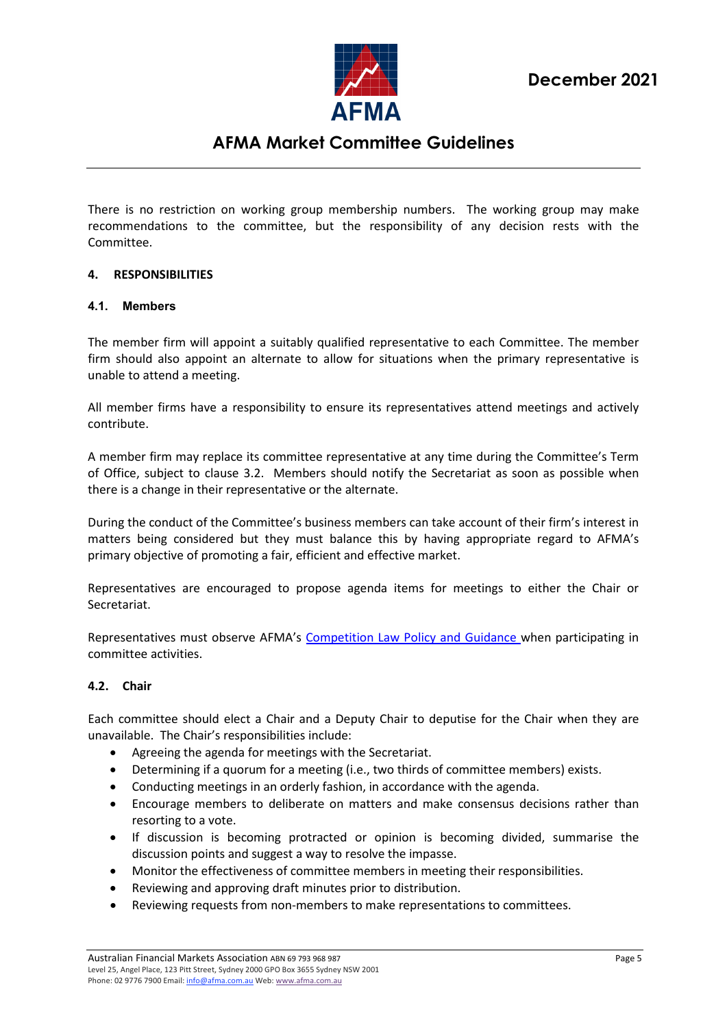

There is no restriction on working group membership numbers. The working group may make recommendations to the committee, but the responsibility of any decision rests with the Committee.

### <span id="page-4-0"></span>**4. RESPONSIBILITIES**

#### <span id="page-4-1"></span>**4.1. Members**

The member firm will appoint a suitably qualified representative to each Committee. The member firm should also appoint an alternate to allow for situations when the primary representative is unable to attend a meeting.

All member firms have a responsibility to ensure its representatives attend meetings and actively contribute.

A member firm may replace its committee representative at any time during the Committee's Term of Office, subject to clause 3.2. Members should notify the Secretariat as soon as possible when there is a change in their representative or the alternate.

During the conduct of the Committee's business members can take account of their firm's interest in matters being considered but they must balance this by having appropriate regard to AFMA's primary objective of promoting a fair, efficient and effective market.

Representatives are encouraged to propose agenda items for meetings to either the Chair or Secretariat.

Representatives must observe AFMA's Competition [Law Policy and Guidance](http://www.afma.com.au/standards/codes-practices/AFMA_Competition_Law_Policy.pdf) when participating in committee activities.

### <span id="page-4-2"></span>**4.2. Chair**

Each committee should elect a Chair and a Deputy Chair to deputise for the Chair when they are unavailable. The Chair's responsibilities include:

- Agreeing the agenda for meetings with the Secretariat.
- Determining if a quorum for a meeting (i.e., two thirds of committee members) exists.
- Conducting meetings in an orderly fashion, in accordance with the agenda.
- Encourage members to deliberate on matters and make consensus decisions rather than resorting to a vote.
- If discussion is becoming protracted or opinion is becoming divided, summarise the discussion points and suggest a way to resolve the impasse.
- Monitor the effectiveness of committee members in meeting their responsibilities.
- Reviewing and approving draft minutes prior to distribution.
- Reviewing requests from non-members to make representations to committees.

Australian Financial Markets Association ABN 69 793 968 987 **Page 5** Page 5 Level 25, Angel Place, 123 Pitt Street, Sydney 2000 GPO Box 3655 Sydney NSW 2001 Phone: 02 9776 7900 Email[: info@afma.com.au](mailto:info@afma.com.au) Web[: www.afma.com.au](http://www.afma.com.au/)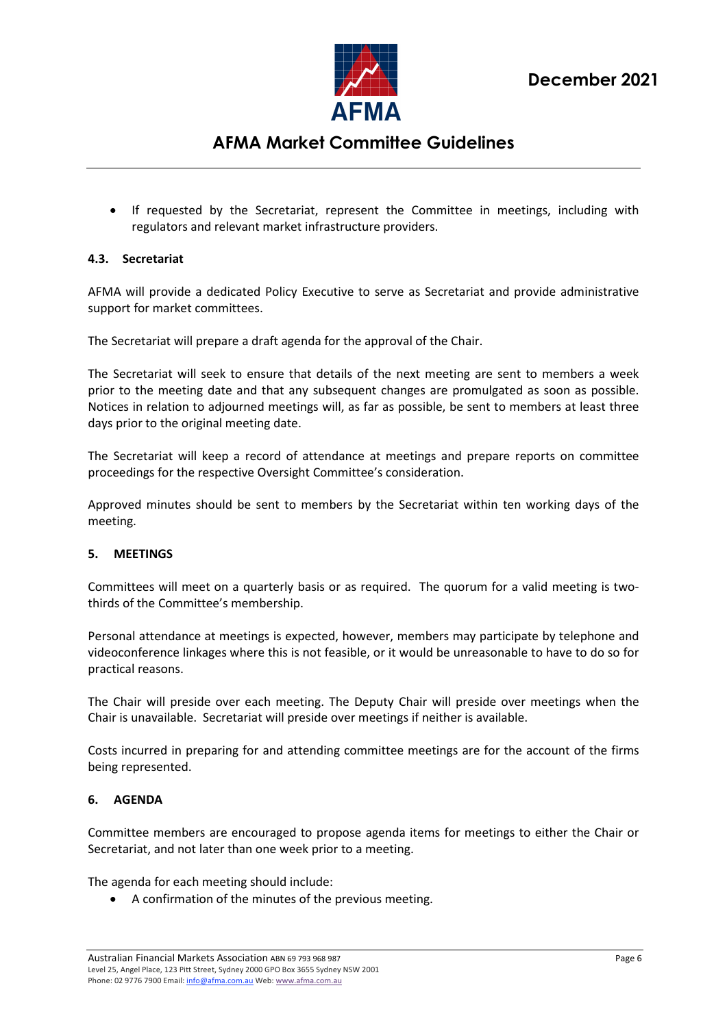

• If requested by the Secretariat, represent the Committee in meetings, including with regulators and relevant market infrastructure providers.

#### <span id="page-5-0"></span>**4.3. Secretariat**

AFMA will provide a dedicated Policy Executive to serve as Secretariat and provide administrative support for market committees.

The Secretariat will prepare a draft agenda for the approval of the Chair.

The Secretariat will seek to ensure that details of the next meeting are sent to members a week prior to the meeting date and that any subsequent changes are promulgated as soon as possible. Notices in relation to adjourned meetings will, as far as possible, be sent to members at least three days prior to the original meeting date.

The Secretariat will keep a record of attendance at meetings and prepare reports on committee proceedings for the respective Oversight Committee's consideration.

Approved minutes should be sent to members by the Secretariat within ten working days of the meeting.

#### <span id="page-5-1"></span>**5. MEETINGS**

Committees will meet on a quarterly basis or as required. The quorum for a valid meeting is twothirds of the Committee's membership.

Personal attendance at meetings is expected, however, members may participate by telephone and videoconference linkages where this is not feasible, or it would be unreasonable to have to do so for practical reasons.

The Chair will preside over each meeting. The Deputy Chair will preside over meetings when the Chair is unavailable. Secretariat will preside over meetings if neither is available.

Costs incurred in preparing for and attending committee meetings are for the account of the firms being represented.

### <span id="page-5-2"></span>**6. AGENDA**

Committee members are encouraged to propose agenda items for meetings to either the Chair or Secretariat, and not later than one week prior to a meeting.

The agenda for each meeting should include:

• A confirmation of the minutes of the previous meeting.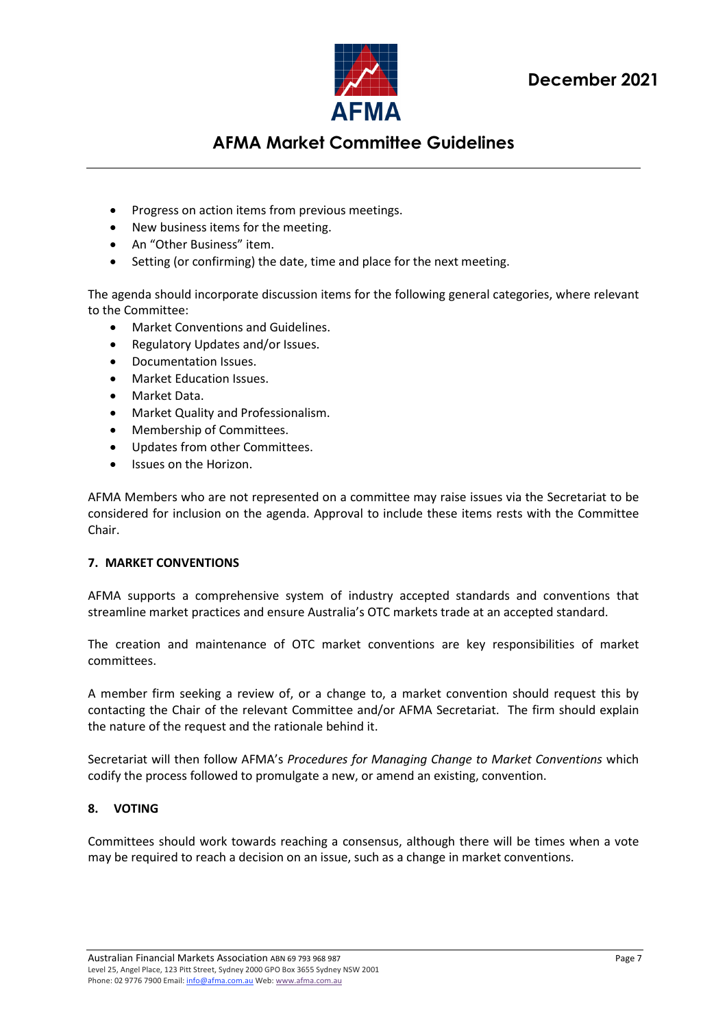

- Progress on action items from previous meetings.
- New business items for the meeting.
- An "Other Business" item.
- Setting (or confirming) the date, time and place for the next meeting.

The agenda should incorporate discussion items for the following general categories, where relevant to the Committee:

- Market Conventions and Guidelines.
- Regulatory Updates and/or Issues.
- Documentation Issues.
- Market Education Issues.
- Market Data.
- Market Quality and Professionalism.
- Membership of Committees.
- Updates from other Committees.
- Issues on the Horizon.

AFMA Members who are not represented on a committee may raise issues via the Secretariat to be considered for inclusion on the agenda. Approval to include these items rests with the Committee Chair.

### <span id="page-6-0"></span>**7. MARKET CONVENTIONS**

AFMA supports a comprehensive system of industry accepted standards and conventions that streamline market practices and ensure Australia's OTC markets trade at an accepted standard.

The creation and maintenance of OTC market conventions are key responsibilities of market committees.

A member firm seeking a review of, or a change to, a market convention should request this by contacting the Chair of the relevant Committee and/or AFMA Secretariat. The firm should explain the nature of the request and the rationale behind it.

Secretariat will then follow AFMA's *Procedures for Managing Change to Market Conventions* which codify the process followed to promulgate a new, or amend an existing, convention.

### <span id="page-6-1"></span>**8. VOTING**

Committees should work towards reaching a consensus, although there will be times when a vote may be required to reach a decision on an issue, such as a change in market conventions.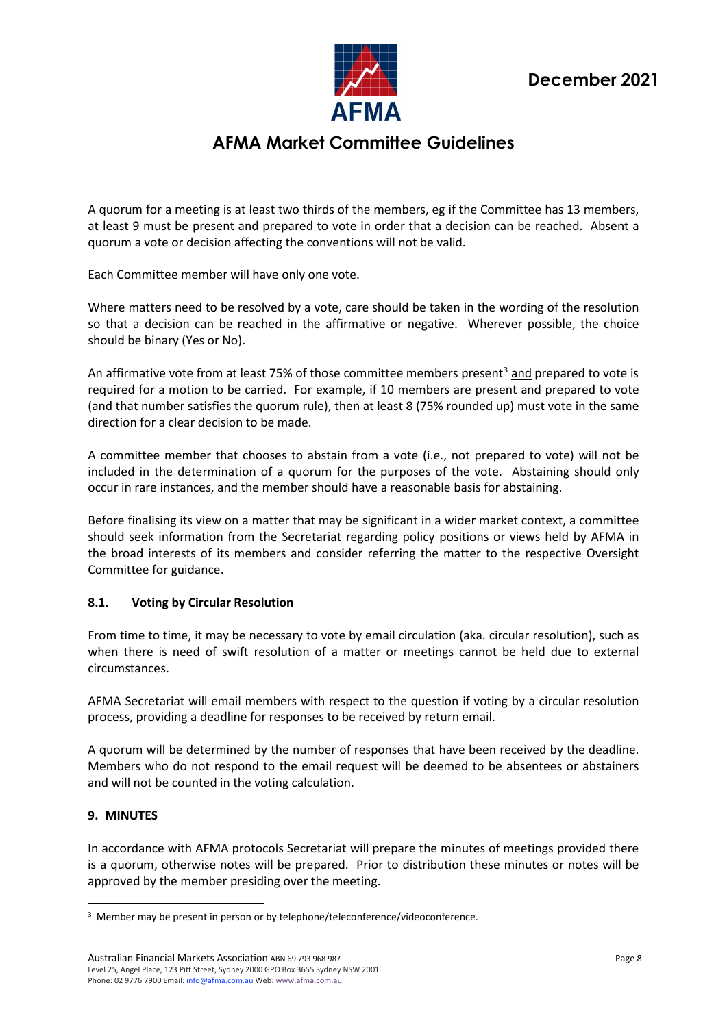

A quorum for a meeting is at least two thirds of the members, eg if the Committee has 13 members, at least 9 must be present and prepared to vote in order that a decision can be reached. Absent a quorum a vote or decision affecting the conventions will not be valid.

Each Committee member will have only one vote.

Where matters need to be resolved by a vote, care should be taken in the wording of the resolution so that a decision can be reached in the affirmative or negative. Wherever possible, the choice should be binary (Yes or No).

An affirmative vote from at least 75% of those committee members present<sup>[3](#page-7-2)</sup> and prepared to vote is required for a motion to be carried. For example, if 10 members are present and prepared to vote (and that number satisfies the quorum rule), then at least 8 (75% rounded up) must vote in the same direction for a clear decision to be made.

A committee member that chooses to abstain from a vote (i.e., not prepared to vote) will not be included in the determination of a quorum for the purposes of the vote. Abstaining should only occur in rare instances, and the member should have a reasonable basis for abstaining.

Before finalising its view on a matter that may be significant in a wider market context, a committee should seek information from the Secretariat regarding policy positions or views held by AFMA in the broad interests of its members and consider referring the matter to the respective Oversight Committee for guidance.

### <span id="page-7-0"></span>**8.1. Voting by Circular Resolution**

From time to time, it may be necessary to vote by email circulation (aka. circular resolution), such as when there is need of swift resolution of a matter or meetings cannot be held due to external circumstances.

AFMA Secretariat will email members with respect to the question if voting by a circular resolution process, providing a deadline for responses to be received by return email.

A quorum will be determined by the number of responses that have been received by the deadline. Members who do not respond to the email request will be deemed to be absentees or abstainers and will not be counted in the voting calculation.

### <span id="page-7-1"></span>**9. MINUTES**

In accordance with AFMA protocols Secretariat will prepare the minutes of meetings provided there is a quorum, otherwise notes will be prepared. Prior to distribution these minutes or notes will be approved by the member presiding over the meeting.

<span id="page-7-2"></span><sup>&</sup>lt;sup>3</sup> Member may be present in person or by telephone/teleconference/videoconference.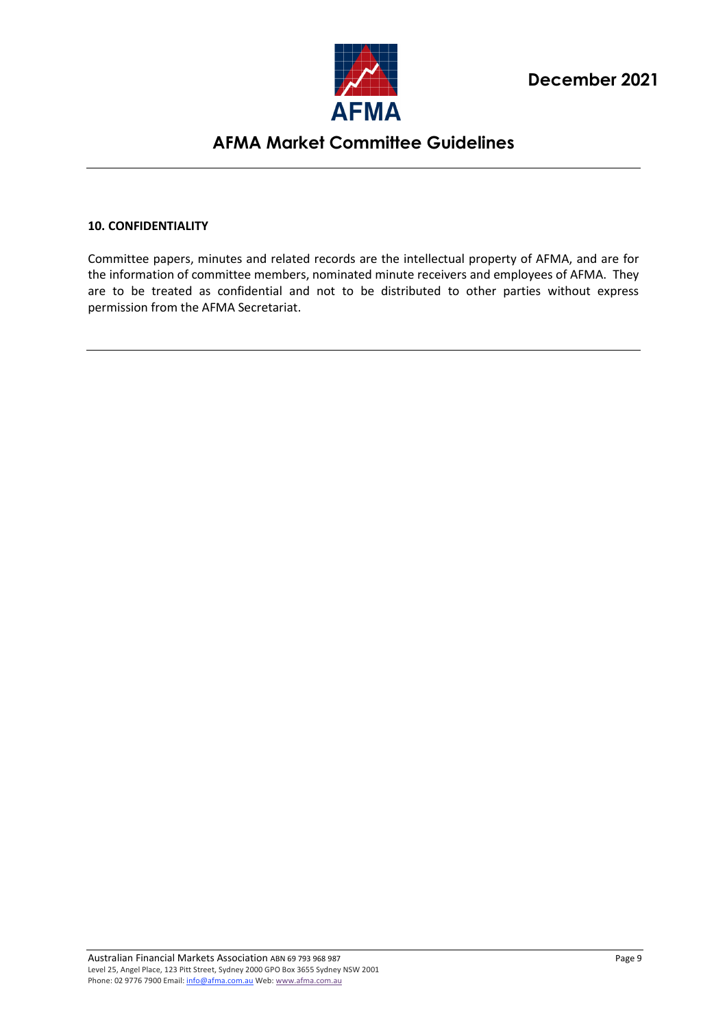

#### <span id="page-8-0"></span>**10. CONFIDENTIALITY**

Committee papers, minutes and related records are the intellectual property of AFMA, and are for the information of committee members, nominated minute receivers and employees of AFMA. They are to be treated as confidential and not to be distributed to other parties without express permission from the AFMA Secretariat.